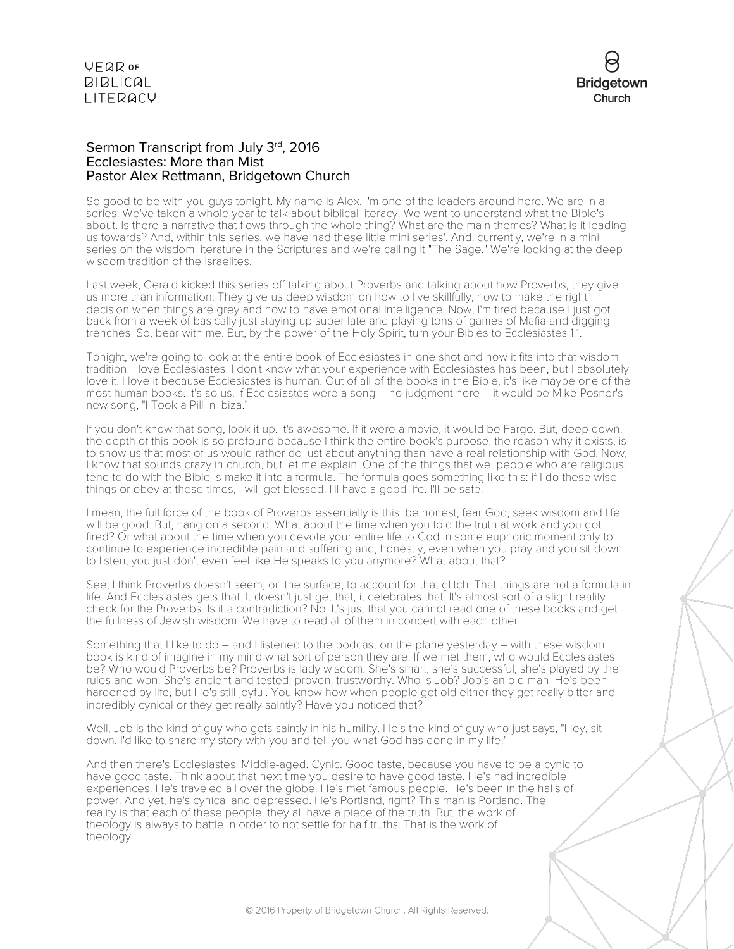

# Sermon Transcript from July 3rd, 2016 Ecclesiastes: More than Mist Pastor Alex Rettmann, Bridgetown Church

So good to be with you guys tonight. My name is Alex. I'm one of the leaders around here. We are in a series. We've taken a whole year to talk about biblical literacy. We want to understand what the Bible's about. Is there a narrative that flows through the whole thing? What are the main themes? What is it leading us towards? And, within this series, we have had these little mini series'. And, currently, we're in a mini series on the wisdom literature in the Scriptures and we're calling it "The Sage." We're looking at the deep wisdom tradition of the Israelites.

Last week, Gerald kicked this series off talking about Proverbs and talking about how Proverbs, they give us more than information. They give us deep wisdom on how to live skillfully, how to make the right decision when things are grey and how to have emotional intelligence. Now, I'm tired because I just got back from a week of basically just staying up super late and playing tons of games of Mafia and digging trenches. So, bear with me. But, by the power of the Holy Spirit, turn your Bibles to Ecclesiastes 1:1.

Tonight, we're going to look at the entire book of Ecclesiastes in one shot and how it fits into that wisdom tradition. I love Ecclesiastes. I don't know what your experience with Ecclesiastes has been, but I absolutely love it. I love it because Ecclesiastes is human. Out of all of the books in the Bible, it's like maybe one of the most human books. It's so us. If Ecclesiastes were a song – no judgment here – it would be Mike Posner's new song, "I Took a Pill in Ibiza."

If you don't know that song, look it up. It's awesome. If it were a movie, it would be Fargo. But, deep down, the depth of this book is so profound because I think the entire book's purpose, the reason why it exists, is to show us that most of us would rather do just about anything than have a real relationship with God. Now, I know that sounds crazy in church, but let me explain. One of the things that we, people who are religious, tend to do with the Bible is make it into a formula. The formula goes something like this: if I do these wise things or obey at these times, I will get blessed. I'll have a good life. I'll be safe.

I mean, the full force of the book of Proverbs essentially is this: be honest, fear God, seek wisdom and life will be good. But, hang on a second. What about the time when you told the truth at work and you got fired? Or what about the time when you devote your entire life to God in some euphoric moment only to continue to experience incredible pain and suffering and, honestly, even when you pray and you sit down to listen, you just don't even feel like He speaks to you anymore? What about that?

See, I think Proverbs doesn't seem, on the surface, to account for that glitch. That things are not a formula in life. And Ecclesiastes gets that. It doesn't just get that, it celebrates that. It's almost sort of a slight reality check for the Proverbs. Is it a contradiction? No. It's just that you cannot read one of these books and get the fullness of Jewish wisdom. We have to read all of them in concert with each other.

Something that I like to do – and I listened to the podcast on the plane yesterday – with these wisdom book is kind of imagine in my mind what sort of person they are. If we met them, who would Ecclesiastes be? Who would Proverbs be? Proverbs is lady wisdom. She's smart, she's successful, she's played by the rules and won. She's ancient and tested, proven, trustworthy. Who is Job? Job's an old man. He's been hardened by life, but He's still joyful. You know how when people get old either they get really bitter and incredibly cynical or they get really saintly? Have you noticed that?

Well, Job is the kind of guy who gets saintly in his humility. He's the kind of guy who just says, "Hey, sit down. I'd like to share my story with you and tell you what God has done in my life."

And then there's Ecclesiastes. Middle-aged. Cynic. Good taste, because you have to be a cynic to have good taste. Think about that next time you desire to have good taste. He's had incredible experiences. He's traveled all over the globe. He's met famous people. He's been in the halls of power. And yet, he's cynical and depressed. He's Portland, right? This man is Portland. The reality is that each of these people, they all have a piece of the truth. But, the work of theology is always to battle in order to not settle for half truths. That is the work of theology.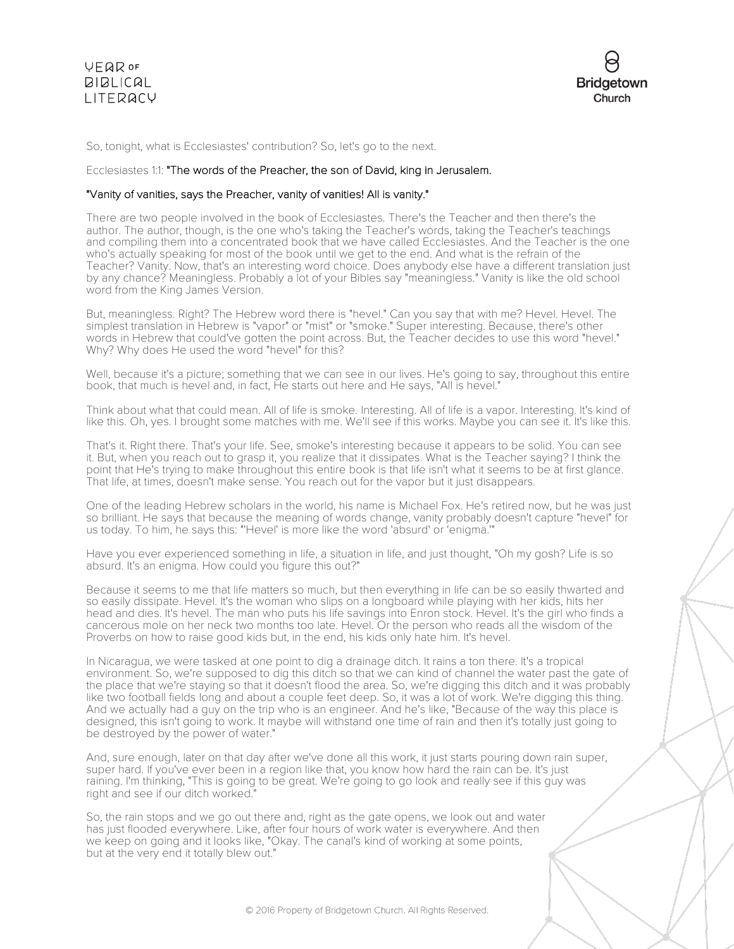

So, tonight, what is Ecclesiastes' contribution? So, let's go to the next.

# Ecclesiastes 1:1: "The words of the Preacher, the son of David, king in Jerusalem.

# "Vanity of vanities, says the Preacher, vanity of vanities! All is vanity."

There are two people involved in the book of Ecclesiastes. There's the Teacher and then there's the author. The author, though, is the one who's taking the Teacher's words, taking the Teacher's teachings and compiling them into a concentrated book that we have called Ecclesiastes. And the Teacher is the one who's actually speaking for most of the book until we get to the end. And what is the refrain of the Teacher? Vanity. Now, that's an interesting word choice. Does anybody else have a different translation just by any chance? Meaningless. Probably a lot of your Bibles say "meaningless." Vanity is like the old school word from the King James Version.

But, meaningless. Right? The Hebrew word there is "hevel." Can you say that with me? Hevel. Hevel. The simplest translation in Hebrew is "vapor" or "mist" or "smoke." Super interesting. Because, there's other words in Hebrew that could've gotten the point across. But, the Teacher decides to use this word "hevel." Why? Why does He used the word "hevel" for this?

Well, because it's a picture; something that we can see in our lives. He's going to say, throughout this entire book, that much is hevel and, in fact, He starts out here and He says, "All is hevel."

Think about what that could mean. All of life is smoke. Interesting. All of life is a vapor. Interesting. It's kind of like this. Oh, yes. I brought some matches with me. We'll see if this works. Maybe you can see it. It's like this.

That's it. Right there. That's your life. See, smoke's interesting because it appears to be solid. You can see it. But, when you reach out to grasp it, you realize that it dissipates. What is the Teacher saying? I think the point that He's trying to make throughout this entire book is that life isn't what it seems to be at first glance. That life, at times, doesn't make sense. You reach out for the vapor but it just disappears.

One of the leading Hebrew scholars in the world, his name is Michael Fox. He's retired now, but he was just so brilliant. He says that because the meaning of words change, vanity probably doesn't capture "hevel" for us today. To him, he says this: "'Hevel' is more like the word 'absurd' or 'enigma.'"

Have you ever experienced something in life, a situation in life, and just thought, "Oh my gosh? Life is so absurd. It's an enigma. How could you figure this out?"

Because it seems to me that life matters so much, but then everything in life can be so easily thwarted and so easily dissipate. Hevel. It's the woman who slips on a longboard while playing with her kids, hits her head and dies. It's hevel. The man who puts his life savings into Enron stock. Hevel. It's the girl who finds a cancerous mole on her neck two months too late. Hevel. Or the person who reads all the wisdom of the Proverbs on how to raise good kids but, in the end, his kids only hate him. It's hevel.

In Nicaragua, we were tasked at one point to dig a drainage ditch. It rains a ton there. It's a tropical environment. So, we're supposed to dig this ditch so that we can kind of channel the water past the gate of the place that we're staying so that it doesn't flood the area. So, we're digging this ditch and it was probably like two football fields long and about a couple feet deep. So, it was a lot of work. We're digging this thing. And we actually had a guy on the trip who is an engineer. And he's like, "Because of the way this place is designed, this isn't going to work. It maybe will withstand one time of rain and then it's totally just going to be destroyed by the power of water."

And, sure enough, later on that day after we've done all this work, it just starts pouring down rain super, super hard. If you've ever been in a region like that, you know how hard the rain can be. It's just raining. I'm thinking, "This is going to be great. We're going to go look and really see if this guy was right and see if our ditch worked."

So, the rain stops and we go out there and, right as the gate opens, we look out and water has just flooded everywhere. Like, after four hours of work water is everywhere. And then we keep on going and it looks like, "Okay. The canal's kind of working at some points, but at the very end it totally blew out."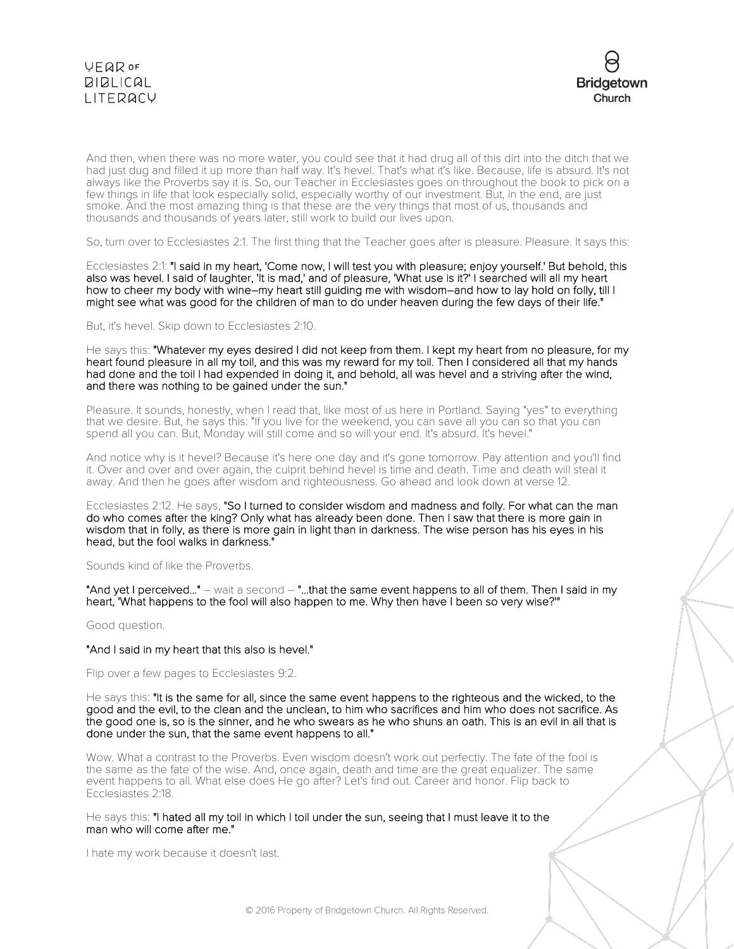



And then, when there was no more water, you could see that it had drug all of this dirt into the ditch that we had just dug and filled it up more than half way. It's hevel. That's what it's like. Because, life is absurd. It's not always like the Proverbs say it is. So, our Teacher in Ecclesiastes goes on throughout the book to pick on a few things in life that look especially solid, especially worthy of our investment. But, in the end, are just smoke. And the most amazing thing is that these are the very things that most of us, thousands and thousands and thousands of years later, still work to build our lives upon.

So, turn over to Ecclesiastes 2:1. The first thing that the Teacher goes after is pleasure. Pleasure. It says this:

Ecclesiastes 2:1: "I said in my heart, 'Come now, I will test you with pleasure; enjoy yourself.' But behold, this also was hevel. I said of laughter, 'It is mad,' and of pleasure, 'What use is it?' I searched will all my heart how to cheer my body with wine–my heart still guiding me with wisdom–and how to lay hold on folly, till I might see what was good for the children of man to do under heaven during the few days of their life."

But, it's hevel. Skip down to Ecclesiastes 2:10.

He says this: "Whatever my eyes desired I did not keep from them. I kept my heart from no pleasure, for my heart found pleasure in all my toil, and this was my reward for my toil. Then I considered all that my hands had done and the toil I had expended in doing it, and behold, all was hevel and a striving after the wind, and there was nothing to be gained under the sun."

Pleasure. It sounds, honestly, when I read that, like most of us here in Portland. Saying "yes" to everything that we desire. But, he says this: "If you live for the weekend, you can save all you can so that you can spend all you can. But, Monday will still come and so will your end. It's absurd. It's hevel."

And notice why is it hevel? Because it's here one day and it's gone tomorrow. Pay attention and you'll find it. Over and over and over again, the culprit behind hevel is time and death. Time and death will steal it away. And then he goes after wisdom and righteousness. Go ahead and look down at verse 12.

Ecclesiastes 2:12. He says, "So I turned to consider wisdom and madness and folly. For what can the man do who comes after the king? Only what has already been done. Then I saw that there is more gain in wisdom that in folly, as there is more gain in light than in darkness. The wise person has his eyes in his head, but the fool walks in darkness."

Sounds kind of like the Proverbs.

"And yet I perceived..." – wait a second – "...that the same event happens to all of them. Then I said in my heart, 'What happens to the fool will also happen to me. Why then have I been so very wise?'"

Good question.

#### "And I said in my heart that this also is hevel."

Flip over a few pages to Ecclesiastes 9:2.

He says this: "It is the same for all, since the same event happens to the righteous and the wicked, to the good and the evil, to the clean and the unclean, to him who sacrifices and him who does not sacrifice. As the good one is, so is the sinner, and he who swears as he who shuns an oath. This is an evil in all that is done under the sun, that the same event happens to all."

Wow. What a contrast to the Proverbs. Even wisdom doesn't work out perfectly. The fate of the fool is the same as the fate of the wise. And, once again, death and time are the great equalizer. The same event happens to all. What else does He go after? Let's find out. Career and honor. Flip back to Ecclesiastes 2:18.

He says this: "I hated all my toil in which I toil under the sun, seeing that I must leave it to the man who will come after me."

I hate my work because it doesn't last.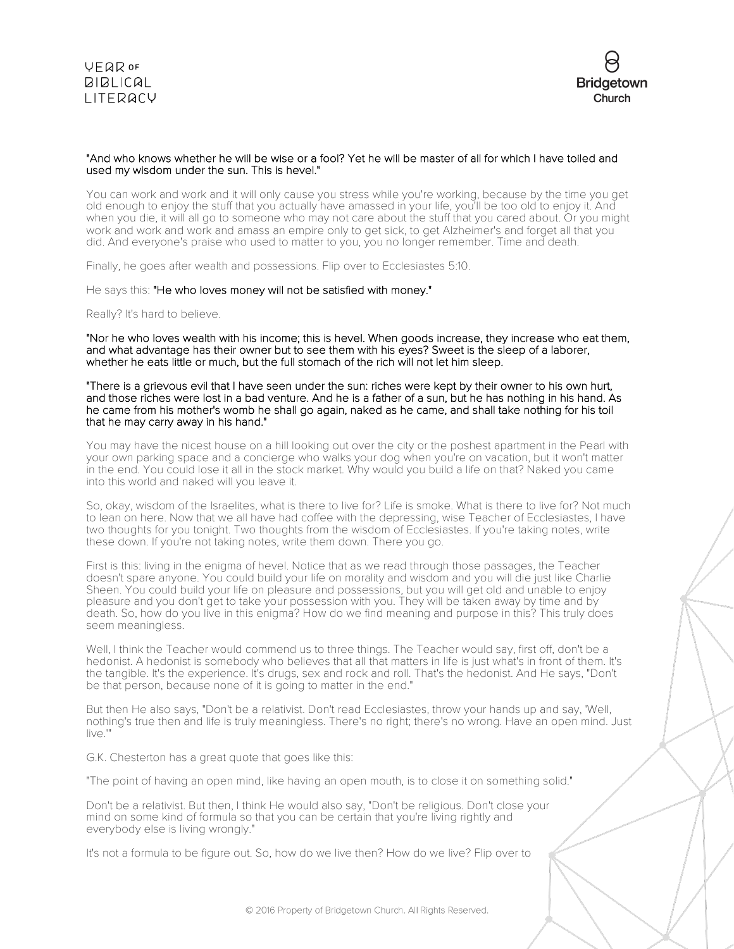

# "And who knows whether he will be wise or a fool? Yet he will be master of all for which I have toiled and used my wisdom under the sun. This is hevel."

You can work and work and it will only cause you stress while you're working, because by the time you get old enough to enjoy the stuff that you actually have amassed in your life, you'll be too old to enjoy it. And when you die, it will all go to someone who may not care about the stuff that you cared about. Or you might work and work and work and amass an empire only to get sick, to get Alzheimer's and forget all that you did. And everyone's praise who used to matter to you, you no longer remember. Time and death.

Finally, he goes after wealth and possessions. Flip over to Ecclesiastes 5:10.

#### He says this: "He who loves money will not be satisfied with money."

Really? It's hard to believe.

"Nor he who loves wealth with his income; this is hevel. When goods increase, they increase who eat them, and what advantage has their owner but to see them with his eyes? Sweet is the sleep of a laborer, whether he eats little or much, but the full stomach of the rich will not let him sleep.

#### "There is a grievous evil that I have seen under the sun: riches were kept by their owner to his own hurt, and those riches were lost in a bad venture. And he is a father of a sun, but he has nothing in his hand. As he came from his mother's womb he shall go again, naked as he came, and shall take nothing for his toil that he may carry away in his hand."

You may have the nicest house on a hill looking out over the city or the poshest apartment in the Pearl with your own parking space and a concierge who walks your dog when you're on vacation, but it won't matter in the end. You could lose it all in the stock market. Why would you build a life on that? Naked you came into this world and naked will you leave it.

So, okay, wisdom of the Israelites, what is there to live for? Life is smoke. What is there to live for? Not much to lean on here. Now that we all have had coffee with the depressing, wise Teacher of Ecclesiastes, I have two thoughts for you tonight. Two thoughts from the wisdom of Ecclesiastes. If you're taking notes, write these down. If you're not taking notes, write them down. There you go.

First is this: living in the enigma of hevel. Notice that as we read through those passages, the Teacher doesn't spare anyone. You could build your life on morality and wisdom and you will die just like Charlie Sheen. You could build your life on pleasure and possessions, but you will get old and unable to enjoy pleasure and you don't get to take your possession with you. They will be taken away by time and by death. So, how do you live in this enigma? How do we find meaning and purpose in this? This truly does seem meaningless.

Well, I think the Teacher would commend us to three things. The Teacher would say, first off, don't be a hedonist. A hedonist is somebody who believes that all that matters in life is just what's in front of them. It's the tangible. It's the experience. It's drugs, sex and rock and roll. That's the hedonist. And He says, "Don't be that person, because none of it is going to matter in the end."

But then He also says, "Don't be a relativist. Don't read Ecclesiastes, throw your hands up and say, 'Well, nothing's true then and life is truly meaningless. There's no right; there's no wrong. Have an open mind. Just live.'"

G.K. Chesterton has a great quote that goes like this:

"The point of having an open mind, like having an open mouth, is to close it on something solid."

Don't be a relativist. But then, I think He would also say, "Don't be religious. Don't close your mind on some kind of formula so that you can be certain that you're living rightly and everybody else is living wrongly."

It's not a formula to be figure out. So, how do we live then? How do we live? Flip over to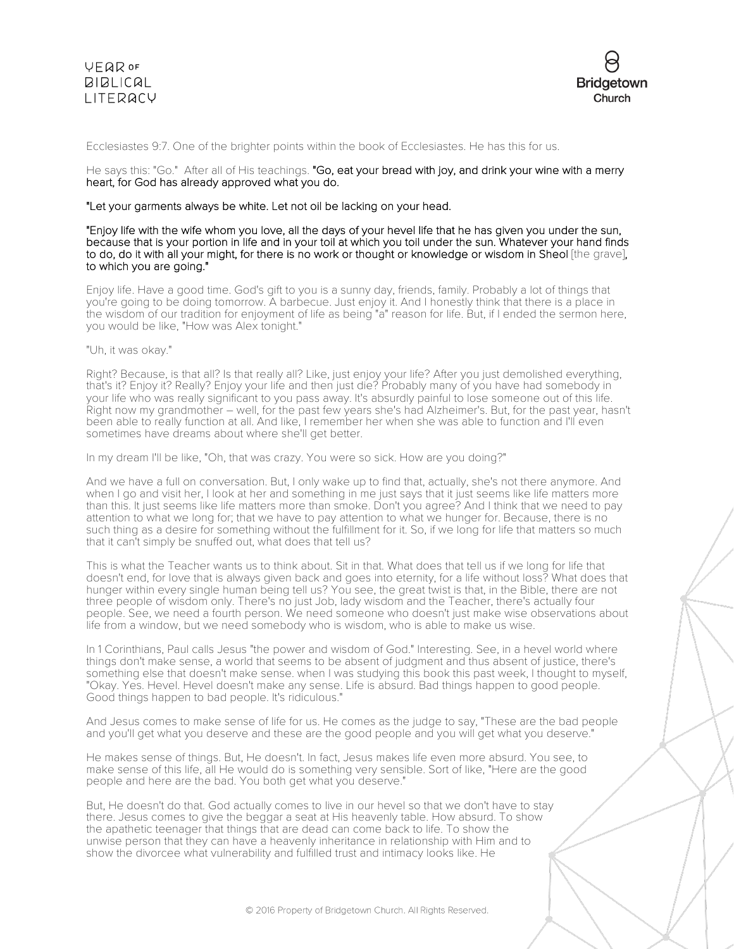



#### Ecclesiastes 9:7. One of the brighter points within the book of Ecclesiastes. He has this for us.

He says this: "Go." After all of His teachings. "Go, eat your bread with joy, and drink your wine with a merry heart, for God has already approved what you do.

#### "Let your garments always be white. Let not oil be lacking on your head.

#### "Enjoy life with the wife whom you love, all the days of your hevel life that he has given you under the sun, because that is your portion in life and in your toil at which you toil under the sun. Whatever your hand finds to do, do it with all your might, for there is no work or thought or knowledge or wisdom in Sheol [the grave], to which you are going."

Enjoy life. Have a good time. God's gift to you is a sunny day, friends, family. Probably a lot of things that you're going to be doing tomorrow. A barbecue. Just enjoy it. And I honestly think that there is a place in the wisdom of our tradition for enjoyment of life as being "a" reason for life. But, if I ended the sermon here, you would be like, "How was Alex tonight."

#### "Uh, it was okay."

Right? Because, is that all? Is that really all? Like, just enjoy your life? After you just demolished everything, that's it? Enjoy it? Really? Enjoy your life and then just die? Probably many of you have had somebody in your life who was really significant to you pass away. It's absurdly painful to lose someone out of this life. Right now my grandmother – well, for the past few years she's had Alzheimer's. But, for the past year, hasn't been able to really function at all. And like, I remember her when she was able to function and I'll even sometimes have dreams about where she'll get better.

In my dream I'll be like, "Oh, that was crazy. You were so sick. How are you doing?"

And we have a full on conversation. But, I only wake up to find that, actually, she's not there anymore. And when I go and visit her, I look at her and something in me just says that it just seems like life matters more than this. It just seems like life matters more than smoke. Don't you agree? And I think that we need to pay attention to what we long for; that we have to pay attention to what we hunger for. Because, there is no such thing as a desire for something without the fulfillment for it. So, if we long for life that matters so much that it can't simply be snuffed out, what does that tell us?

This is what the Teacher wants us to think about. Sit in that. What does that tell us if we long for life that doesn't end, for love that is always given back and goes into eternity, for a life without loss? What does that hunger within every single human being tell us? You see, the great twist is that, in the Bible, there are not three people of wisdom only. There's no just Job, lady wisdom and the Teacher, there's actually four people. See, we need a fourth person. We need someone who doesn't just make wise observations about life from a window, but we need somebody who is wisdom, who is able to make us wise.

In 1 Corinthians, Paul calls Jesus "the power and wisdom of God." Interesting. See, in a hevel world where things don't make sense, a world that seems to be absent of judgment and thus absent of justice, there's something else that doesn't make sense. when I was studying this book this past week, I thought to myself, "Okay. Yes. Hevel. Hevel doesn't make any sense. Life is absurd. Bad things happen to good people. Good things happen to bad people. It's ridiculous."

And Jesus comes to make sense of life for us. He comes as the judge to say, "These are the bad people and you'll get what you deserve and these are the good people and you will get what you deserve."

He makes sense of things. But, He doesn't. In fact, Jesus makes life even more absurd. You see, to make sense of this life, all He would do is something very sensible. Sort of like, "Here are the good people and here are the bad. You both get what you deserve."

But, He doesn't do that. God actually comes to live in our hevel so that we don't have to stay there. Jesus comes to give the beggar a seat at His heavenly table. How absurd. To show the apathetic teenager that things that are dead can come back to life. To show the unwise person that they can have a heavenly inheritance in relationship with Him and to show the divorcee what vulnerability and fulfilled trust and intimacy looks like. He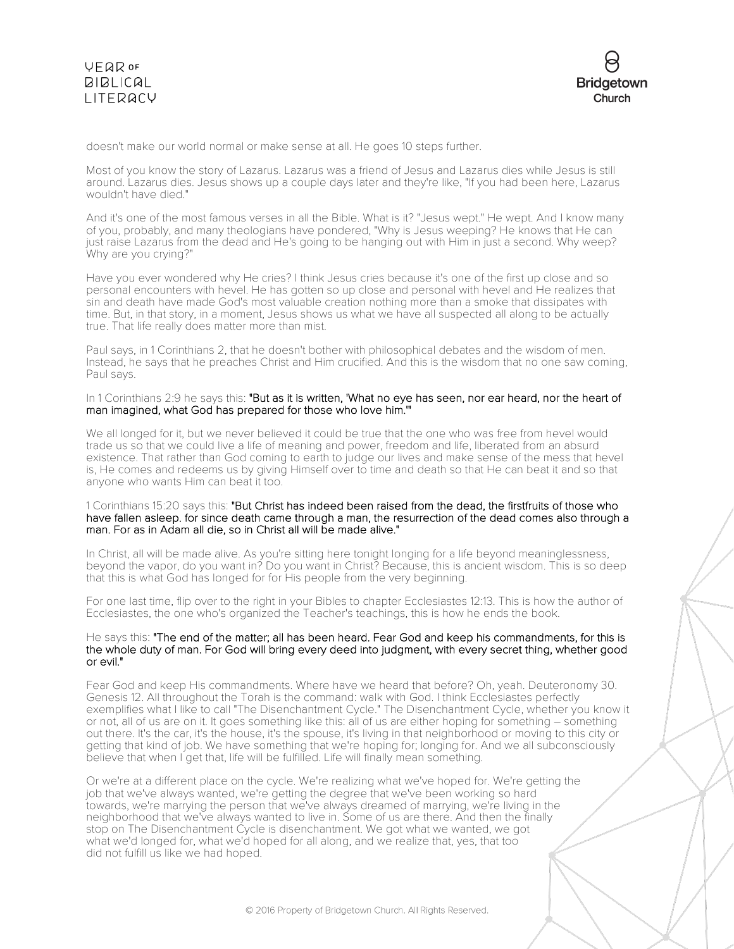

doesn't make our world normal or make sense at all. He goes 10 steps further.

Most of you know the story of Lazarus. Lazarus was a friend of Jesus and Lazarus dies while Jesus is still around. Lazarus dies. Jesus shows up a couple days later and they're like, "If you had been here, Lazarus wouldn't have died."

And it's one of the most famous verses in all the Bible. What is it? "Jesus wept." He wept. And I know many of you, probably, and many theologians have pondered, "Why is Jesus weeping? He knows that He can just raise Lazarus from the dead and He's going to be hanging out with Him in just a second. Why weep? Why are you crying?"

Have you ever wondered why He cries? I think Jesus cries because it's one of the first up close and so personal encounters with hevel. He has gotten so up close and personal with hevel and He realizes that sin and death have made God's most valuable creation nothing more than a smoke that dissipates with time. But, in that story, in a moment, Jesus shows us what we have all suspected all along to be actually true. That life really does matter more than mist.

Paul says, in 1 Corinthians 2, that he doesn't bother with philosophical debates and the wisdom of men. Instead, he says that he preaches Christ and Him crucified. And this is the wisdom that no one saw coming, Paul says.

In 1 Corinthians 2:9 he says this: "But as it is written, 'What no eye has seen, nor ear heard, nor the heart of man imagined, what God has prepared for those who love him.'"

We all longed for it, but we never believed it could be true that the one who was free from hevel would trade us so that we could live a life of meaning and power, freedom and life, liberated from an absurd existence. That rather than God coming to earth to judge our lives and make sense of the mess that hevel is, He comes and redeems us by giving Himself over to time and death so that He can beat it and so that anyone who wants Him can beat it too.

#### 1 Corinthians 15:20 says this: "But Christ has indeed been raised from the dead, the firstfruits of those who have fallen asleep. for since death came through a man, the resurrection of the dead comes also through a man. For as in Adam all die, so in Christ all will be made alive."

In Christ, all will be made alive. As you're sitting here tonight longing for a life beyond meaninglessness, beyond the vapor, do you want in? Do you want in Christ? Because, this is ancient wisdom. This is so deep that this is what God has longed for for His people from the very beginning.

For one last time, flip over to the right in your Bibles to chapter Ecclesiastes 12:13. This is how the author of Ecclesiastes, the one who's organized the Teacher's teachings, this is how he ends the book.

# He says this: "The end of the matter; all has been heard. Fear God and keep his commandments, for this is the whole duty of man. For God will bring every deed into judgment, with every secret thing, whether good or evil."

Fear God and keep His commandments. Where have we heard that before? Oh, yeah. Deuteronomy 30. Genesis 12. All throughout the Torah is the command: walk with God. I think Ecclesiastes perfectly exemplifies what I like to call "The Disenchantment Cycle." The Disenchantment Cycle, whether you know it or not, all of us are on it. It goes something like this: all of us are either hoping for something – something out there. It's the car, it's the house, it's the spouse, it's living in that neighborhood or moving to this city or getting that kind of job. We have something that we're hoping for; longing for. And we all subconsciously believe that when I get that, life will be fulfilled. Life will finally mean something.

Or we're at a different place on the cycle. We're realizing what we've hoped for. We're getting the job that we've always wanted, we're getting the degree that we've been working so hard towards, we're marrying the person that we've always dreamed of marrying, we're living in the neighborhood that we've always wanted to live in. Some of us are there. And then the finally stop on The Disenchantment Cycle is disenchantment. We got what we wanted, we got what we'd longed for, what we'd hoped for all along, and we realize that, yes, that too did not fulfill us like we had hoped.